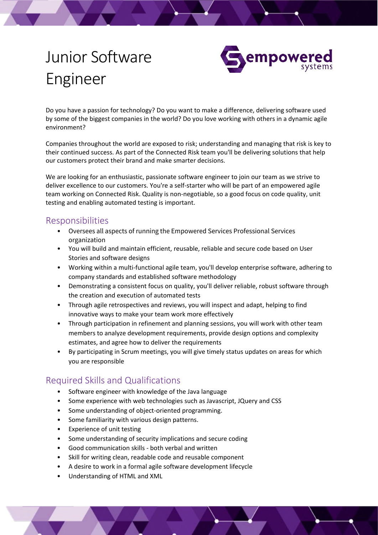## Junior Software Engineer



Do you have a passion for technology? Do you want to make a difference, delivering software used by some of the biggest companies in the world? Do you love working with others in a dynamic agile environment?

Companies throughout the world are exposed to risk; understanding and managing that risk is key to their continued success. As part of the Connected Risk team you'll be delivering solutions that help our customers protect their brand and make smarter decisions.

We are looking for an enthusiastic, passionate software engineer to join our team as we strive to deliver excellence to our customers. You're a self-starter who will be part of an empowered agile team working on Connected Risk. Quality is non-negotiable, so a good focus on code quality, unit testing and enabling automated testing is important.

## Responsibilities

- Oversees all aspects of running the Empowered Services Professional Services organization
- You will build and maintain efficient, reusable, reliable and secure code based on User Stories and software designs
- Working within a multi-functional agile team, you'll develop enterprise software, adhering to company standards and established software methodology
- Demonstrating a consistent focus on quality, you'll deliver reliable, robust software through the creation and execution of automated tests
- Through agile retrospectives and reviews, you will inspect and adapt, helping to find innovative ways to make your team work more effectively
- Through participation in refinement and planning sessions, you will work with other team members to analyze development requirements, provide design options and complexity estimates, and agree how to deliver the requirements
- By participating in Scrum meetings, you will give timely status updates on areas for which you are responsible

## Required Skills and Qualifications

- Software engineer with knowledge of the Java language
- Some experience with web technologies such as Javascript, JQuery and CSS
- Some understanding of object-oriented programming.
- Some familiarity with various design patterns.
- Experience of unit testing
- Some understanding of security implications and secure coding
- Good communication skills both verbal and written
- Skill for writing clean, readable code and reusable component
- A desire to work in a formal agile software development lifecycle
- Understanding of HTML and XML